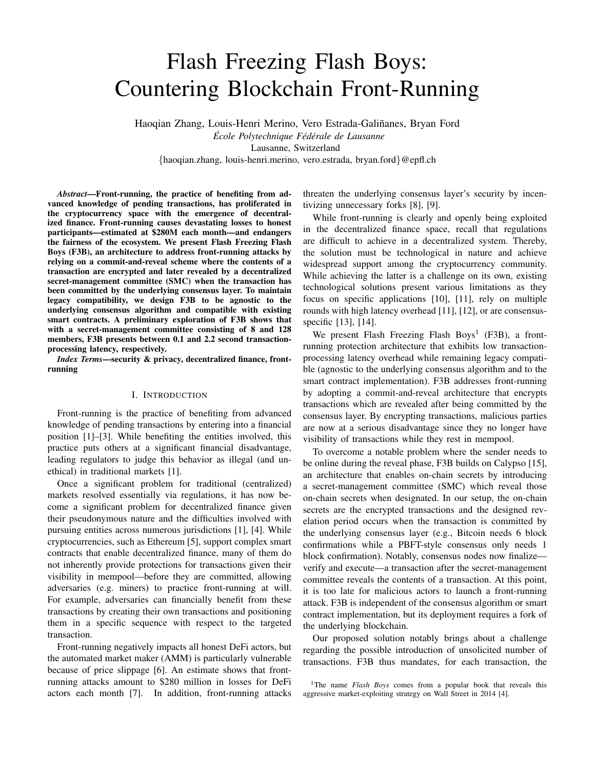# Flash Freezing Flash Boys: Countering Blockchain Front-Running

Haoqian Zhang, Louis-Henri Merino, Vero Estrada-Galiñanes, Bryan Ford

*Ecole Polytechnique F ´ ed´ erale de Lausanne ´* Lausanne, Switzerland {haoqian.zhang, louis-henri.merino, vero.estrada, bryan.ford}@epfl.ch

*Abstract*—Front-running, the practice of benefiting from advanced knowledge of pending transactions, has proliferated in the cryptocurrency space with the emergence of decentralized finance. Front-running causes devastating losses to honest participants—estimated at \$280M each month—and endangers the fairness of the ecosystem. We present Flash Freezing Flash Boys (F3B), an architecture to address front-running attacks by relying on a commit-and-reveal scheme where the contents of a transaction are encrypted and later revealed by a decentralized secret-management committee (SMC) when the transaction has been committed by the underlying consensus layer. To maintain legacy compatibility, we design F3B to be agnostic to the underlying consensus algorithm and compatible with existing smart contracts. A preliminary exploration of F3B shows that with a secret-management committee consisting of 8 and 128 members, F3B presents between 0.1 and 2.2 second transactionprocessing latency, respectively.

*Index Terms*—security & privacy, decentralized finance, frontrunning

# I. INTRODUCTION

Front-running is the practice of benefiting from advanced knowledge of pending transactions by entering into a financial position [1]–[3]. While benefiting the entities involved, this practice puts others at a significant financial disadvantage, leading regulators to judge this behavior as illegal (and unethical) in traditional markets [1].

Once a significant problem for traditional (centralized) markets resolved essentially via regulations, it has now become a significant problem for decentralized finance given their pseudonymous nature and the difficulties involved with pursuing entities across numerous jurisdictions [1], [4]. While cryptocurrencies, such as Ethereum [5], support complex smart contracts that enable decentralized finance, many of them do not inherently provide protections for transactions given their visibility in mempool—before they are committed, allowing adversaries (e.g. miners) to practice front-running at will. For example, adversaries can financially benefit from these transactions by creating their own transactions and positioning them in a specific sequence with respect to the targeted transaction.

Front-running negatively impacts all honest DeFi actors, but the automated market maker (AMM) is particularly vulnerable because of price slippage [6]. An estimate shows that frontrunning attacks amount to \$280 million in losses for DeFi actors each month [7]. In addition, front-running attacks

threaten the underlying consensus layer's security by incentivizing unnecessary forks [8], [9].

While front-running is clearly and openly being exploited in the decentralized finance space, recall that regulations are difficult to achieve in a decentralized system. Thereby, the solution must be technological in nature and achieve widespread support among the cryptocurrency community. While achieving the latter is a challenge on its own, existing technological solutions present various limitations as they focus on specific applications [10], [11], rely on multiple rounds with high latency overhead [11], [12], or are consensusspecific [13], [14].

We present Flash Freezing Flash Boys<sup>1</sup> (F3B), a frontrunning protection architecture that exhibits low transactionprocessing latency overhead while remaining legacy compatible (agnostic to the underlying consensus algorithm and to the smart contract implementation). F3B addresses front-running by adopting a commit-and-reveal architecture that encrypts transactions which are revealed after being committed by the consensus layer. By encrypting transactions, malicious parties are now at a serious disadvantage since they no longer have visibility of transactions while they rest in mempool.

To overcome a notable problem where the sender needs to be online during the reveal phase, F3B builds on Calypso [15], an architecture that enables on-chain secrets by introducing a secret-management committee (SMC) which reveal those on-chain secrets when designated. In our setup, the on-chain secrets are the encrypted transactions and the designed revelation period occurs when the transaction is committed by the underlying consensus layer (e.g., Bitcoin needs 6 block confirmations while a PBFT-style consensus only needs 1 block confirmation). Notably, consensus nodes now finalize verify and execute—a transaction after the secret-management committee reveals the contents of a transaction. At this point, it is too late for malicious actors to launch a front-running attack. F3B is independent of the consensus algorithm or smart contract implementation, but its deployment requires a fork of the underlying blockchain.

Our proposed solution notably brings about a challenge regarding the possible introduction of unsolicited number of transactions. F3B thus mandates, for each transaction, the

<sup>&</sup>lt;sup>1</sup>The name *Flash Boys* comes from a popular book that reveals this aggressive market-exploiting strategy on Wall Street in 2014 [4].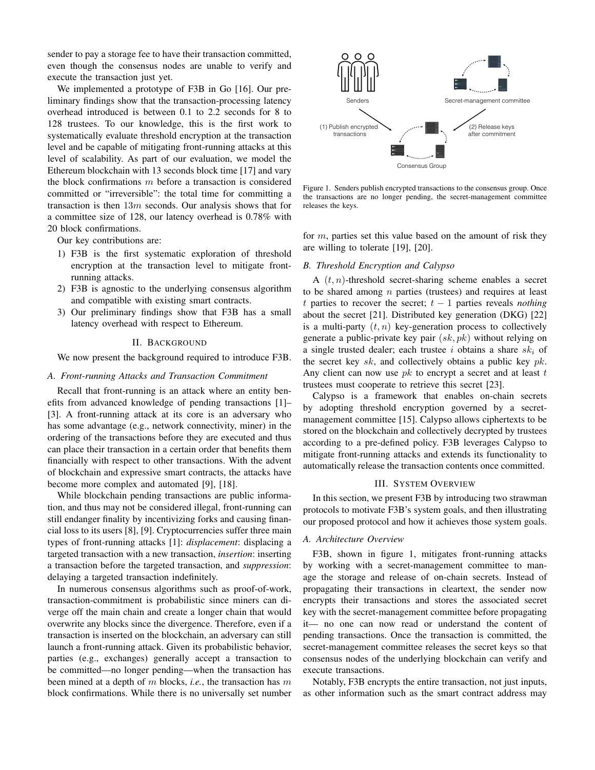sender to pay a storage fee to have their transaction committed, even though the consensus nodes are unable to verify and execute the transaction just yet.

We implemented a prototype of F3B in Go [16]. Our preliminary findings show that the transaction-processing latency overhead introduced is between 0.1 to 2.2 seconds for 8 to 128 trustees. To our knowledge, this is the first work to systematically evaluate threshold encryption at the transaction level and be capable of mitigating front-running attacks at this level of scalability. As part of our evaluation, we model the Ethereum blockchain with 13 seconds block time [17] and vary the block confirmations  $m$  before a transaction is considered committed or "irreversible": the total time for committing a transaction is then  $13m$  seconds. Our analysis shows that for a committee size of 128, our latency overhead is 0.78% with 20 block confirmations.

Our key contributions are:

- 1) F3B is the first systematic exploration of threshold encryption at the transaction level to mitigate frontrunning attacks.
- 2) F3B is agnostic to the underlying consensus algorithm and compatible with existing smart contracts.
- 3) Our preliminary findings show that F3B has a small latency overhead with respect to Ethereum.

# II. BACKGROUND

We now present the background required to introduce F3B.

#### *A. Front-running Attacks and Transaction Commitment*

Recall that front-running is an attack where an entity benefits from advanced knowledge of pending transactions [1]– [3]. A front-running attack at its core is an adversary who has some advantage (e.g., network connectivity, miner) in the ordering of the transactions before they are executed and thus can place their transaction in a certain order that benefits them financially with respect to other transactions. With the advent of blockchain and expressive smart contracts, the attacks have become more complex and automated [9], [18].

While blockchain pending transactions are public information, and thus may not be considered illegal, front-running can still endanger finality by incentivizing forks and causing financial loss to its users [8], [9]. Cryptocurrencies suffer three main types of front-running attacks [1]: *displacement*: displacing a targeted transaction with a new transaction, *insertion*: inserting a transaction before the targeted transaction, and *suppression*: delaying a targeted transaction indefinitely.

In numerous consensus algorithms such as proof-of-work, transaction-commitment is probabilistic since miners can diverge off the main chain and create a longer chain that would overwrite any blocks since the divergence. Therefore, even if a transaction is inserted on the blockchain, an adversary can still launch a front-running attack. Given its probabilistic behavior, parties (e.g., exchanges) generally accept a transaction to be committed—no longer pending—when the transaction has been mined at a depth of m blocks, *i.e.*, the transaction has m block confirmations. While there is no universally set number



Figure 1. Senders publish encrypted transactions to the consensus group. Once the transactions are no longer pending, the secret-management committee releases the keys.

for m, parties set this value based on the amount of risk they are willing to tolerate [19], [20].

### *B. Threshold Encryption and Calypso*

A  $(t, n)$ -threshold secret-sharing scheme enables a secret to be shared among  $n$  parties (trustees) and requires at least t parties to recover the secret;  $t - 1$  parties reveals *nothing* about the secret [21]. Distributed key generation (DKG) [22] is a multi-party  $(t, n)$  key-generation process to collectively generate a public-private key pair  $(sk, pk)$  without relying on a single trusted dealer; each trustee i obtains a share  $sk_i$  of the secret key sk, and collectively obtains a public key  $pk$ . Any client can now use  $pk$  to encrypt a secret and at least  $t$ trustees must cooperate to retrieve this secret [23].

Calypso is a framework that enables on-chain secrets by adopting threshold encryption governed by a secretmanagement committee [15]. Calypso allows ciphertexts to be stored on the blockchain and collectively decrypted by trustees according to a pre-defined policy. F3B leverages Calypso to mitigate front-running attacks and extends its functionality to automatically release the transaction contents once committed.

### III. SYSTEM OVERVIEW

In this section, we present F3B by introducing two strawman protocols to motivate F3B's system goals, and then illustrating our proposed protocol and how it achieves those system goals.

## *A. Architecture Overview*

F3B, shown in figure 1, mitigates front-running attacks by working with a secret-management committee to manage the storage and release of on-chain secrets. Instead of propagating their transactions in cleartext, the sender now encrypts their transactions and stores the associated secret key with the secret-management committee before propagating it— no one can now read or understand the content of pending transactions. Once the transaction is committed, the secret-management committee releases the secret keys so that consensus nodes of the underlying blockchain can verify and execute transactions.

Notably, F3B encrypts the entire transaction, not just inputs, as other information such as the smart contract address may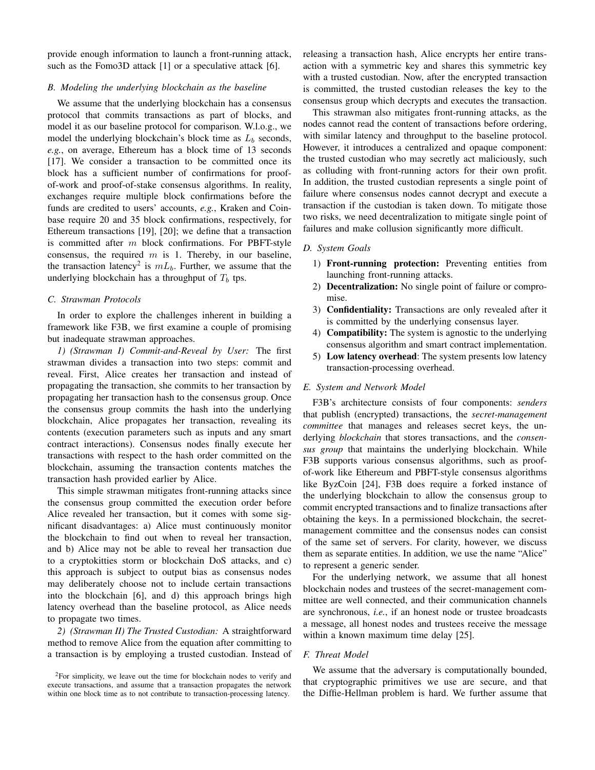provide enough information to launch a front-running attack, such as the Fomo3D attack [1] or a speculative attack [6].

# *B. Modeling the underlying blockchain as the baseline*

We assume that the underlying blockchain has a consensus protocol that commits transactions as part of blocks, and model it as our baseline protocol for comparison. W.l.o.g., we model the underlying blockchain's block time as  $L<sub>b</sub>$  seconds, *e.g.*, on average, Ethereum has a block time of 13 seconds [17]. We consider a transaction to be committed once its block has a sufficient number of confirmations for proofof-work and proof-of-stake consensus algorithms. In reality, exchanges require multiple block confirmations before the funds are credited to users' accounts, *e.g.*, Kraken and Coinbase require 20 and 35 block confirmations, respectively, for Ethereum transactions [19], [20]; we define that a transaction is committed after  $m$  block confirmations. For PBFT-style consensus, the required  $m$  is 1. Thereby, in our baseline, the transaction latency<sup>2</sup> is  $mL_b$ . Further, we assume that the underlying blockchain has a throughput of  $T_b$  tps.

## *C. Strawman Protocols*

In order to explore the challenges inherent in building a framework like F3B, we first examine a couple of promising but inadequate strawman approaches.

*1) (Strawman I) Commit-and-Reveal by User:* The first strawman divides a transaction into two steps: commit and reveal. First, Alice creates her transaction and instead of propagating the transaction, she commits to her transaction by propagating her transaction hash to the consensus group. Once the consensus group commits the hash into the underlying blockchain, Alice propagates her transaction, revealing its contents (execution parameters such as inputs and any smart contract interactions). Consensus nodes finally execute her transactions with respect to the hash order committed on the blockchain, assuming the transaction contents matches the transaction hash provided earlier by Alice.

This simple strawman mitigates front-running attacks since the consensus group committed the execution order before Alice revealed her transaction, but it comes with some significant disadvantages: a) Alice must continuously monitor the blockchain to find out when to reveal her transaction, and b) Alice may not be able to reveal her transaction due to a cryptokitties storm or blockchain DoS attacks, and c) this approach is subject to output bias as consensus nodes may deliberately choose not to include certain transactions into the blockchain [6], and d) this approach brings high latency overhead than the baseline protocol, as Alice needs to propagate two times.

*2) (Strawman II) The Trusted Custodian:* A straightforward method to remove Alice from the equation after committing to a transaction is by employing a trusted custodian. Instead of

 $2$ For simplicity, we leave out the time for blockchain nodes to verify and execute transactions, and assume that a transaction propagates the network within one block time as to not contribute to transaction-processing latency.

releasing a transaction hash, Alice encrypts her entire transaction with a symmetric key and shares this symmetric key with a trusted custodian. Now, after the encrypted transaction is committed, the trusted custodian releases the key to the consensus group which decrypts and executes the transaction.

This strawman also mitigates front-running attacks, as the nodes cannot read the content of transactions before ordering, with similar latency and throughput to the baseline protocol. However, it introduces a centralized and opaque component: the trusted custodian who may secretly act maliciously, such as colluding with front-running actors for their own profit. In addition, the trusted custodian represents a single point of failure where consensus nodes cannot decrypt and execute a transaction if the custodian is taken down. To mitigate those two risks, we need decentralization to mitigate single point of failures and make collusion significantly more difficult.

## *D. System Goals*

- 1) Front-running protection: Preventing entities from launching front-running attacks.
- 2) Decentralization: No single point of failure or compromise.
- 3) Confidentiality: Transactions are only revealed after it is committed by the underlying consensus layer.
- 4) Compatibility: The system is agnostic to the underlying consensus algorithm and smart contract implementation.
- 5) Low latency overhead: The system presents low latency transaction-processing overhead.

## *E. System and Network Model*

F3B's architecture consists of four components: *senders* that publish (encrypted) transactions, the *secret-management committee* that manages and releases secret keys, the underlying *blockchain* that stores transactions, and the *consensus group* that maintains the underlying blockchain. While F3B supports various consensus algorithms, such as proofof-work like Ethereum and PBFT-style consensus algorithms like ByzCoin [24], F3B does require a forked instance of the underlying blockchain to allow the consensus group to commit encrypted transactions and to finalize transactions after obtaining the keys. In a permissioned blockchain, the secretmanagement committee and the consensus nodes can consist of the same set of servers. For clarity, however, we discuss them as separate entities. In addition, we use the name "Alice" to represent a generic sender.

For the underlying network, we assume that all honest blockchain nodes and trustees of the secret-management committee are well connected, and their communication channels are synchronous, *i.e.*, if an honest node or trustee broadcasts a message, all honest nodes and trustees receive the message within a known maximum time delay [25].

## *F. Threat Model*

We assume that the adversary is computationally bounded, that cryptographic primitives we use are secure, and that the Diffie-Hellman problem is hard. We further assume that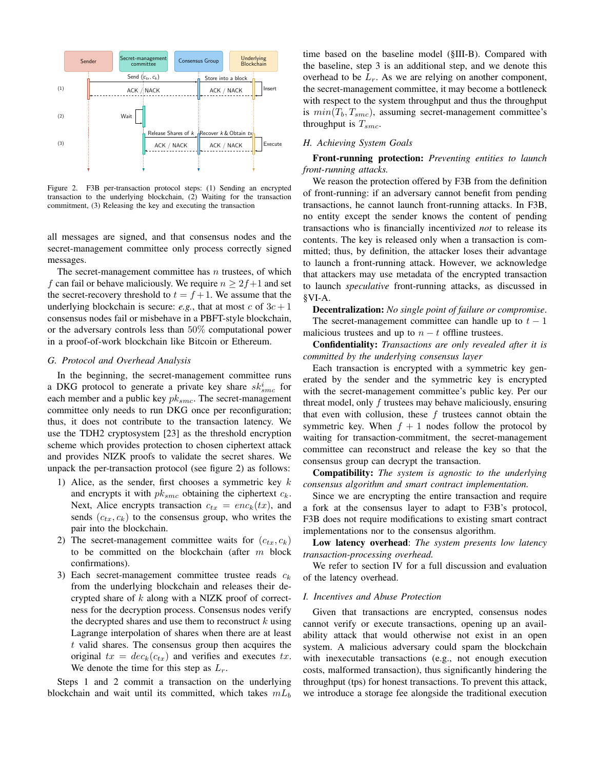

Figure 2. F3B per-transaction protocol steps: (1) Sending an encrypted transaction to the underlying blockchain, (2) Waiting for the transaction commitment, (3) Releasing the key and executing the transaction

all messages are signed, and that consensus nodes and the secret-management committee only process correctly signed messages.

The secret-management committee has  $n$  trustees, of which f can fail or behave maliciously. We require  $n \geq 2f+1$  and set the secret-recovery threshold to  $t = f + 1$ . We assume that the underlying blockchain is secure: *e.g.*, that at most c of  $3c + 1$ consensus nodes fail or misbehave in a PBFT-style blockchain, or the adversary controls less than 50% computational power in a proof-of-work blockchain like Bitcoin or Ethereum.

#### *G. Protocol and Overhead Analysis*

In the beginning, the secret-management committee runs a DKG protocol to generate a private key share  $sk_{smc}^{i}$  for each member and a public key  $pk_{smc}$ . The secret-management committee only needs to run DKG once per reconfiguration; thus, it does not contribute to the transaction latency. We use the TDH2 cryptosystem [23] as the threshold encryption scheme which provides protection to chosen ciphertext attack and provides NIZK proofs to validate the secret shares. We unpack the per-transaction protocol (see figure 2) as follows:

- 1) Alice, as the sender, first chooses a symmetric key  $k$ and encrypts it with  $pk_{smc}$  obtaining the ciphertext  $c_k$ . Next, Alice encrypts transaction  $c_{tx} = enc_k(tx)$ , and sends  $(c_{tx}, c_k)$  to the consensus group, who writes the pair into the blockchain.
- 2) The secret-management committee waits for  $(c_{tx}, c_k)$ to be committed on the blockchain (after m block confirmations).
- 3) Each secret-management committee trustee reads  $c_k$ from the underlying blockchain and releases their decrypted share of k along with a NIZK proof of correctness for the decryption process. Consensus nodes verify the decrypted shares and use them to reconstruct  $k$  using Lagrange interpolation of shares when there are at least t valid shares. The consensus group then acquires the original  $tx = dec_k(c_{tx})$  and verifies and executes tx. We denote the time for this step as  $L_r$ .

Steps 1 and 2 commit a transaction on the underlying blockchain and wait until its committed, which takes  $mL_b$  time based on the baseline model (§III-B). Compared with the baseline, step 3 is an additional step, and we denote this overhead to be  $L_r$ . As we are relying on another component, the secret-management committee, it may become a bottleneck with respect to the system throughput and thus the throughput is  $min(T_b, T_{smc})$ , assuming secret-management committee's throughput is  $T_{smc}$ .

# *H. Achieving System Goals*

Front-running protection: *Preventing entities to launch front-running attacks.*

We reason the protection offered by F3B from the definition of front-running: if an adversary cannot benefit from pending transactions, he cannot launch front-running attacks. In F3B, no entity except the sender knows the content of pending transactions who is financially incentivized *not* to release its contents. The key is released only when a transaction is committed; thus, by definition, the attacker loses their advantage to launch a front-running attack. However, we acknowledge that attackers may use metadata of the encrypted transaction to launch *speculative* front-running attacks, as discussed in §VI-A.

Decentralization: *No single point of failure or compromise*. The secret-management committee can handle up to  $t - 1$ malicious trustees and up to  $n - t$  offline trustees.

Confidentiality: *Transactions are only revealed after it is committed by the underlying consensus layer*

Each transaction is encrypted with a symmetric key generated by the sender and the symmetric key is encrypted with the secret-management committee's public key. Per our threat model, only f trustees may behave maliciously, ensuring that even with collusion, these  $f$  trustees cannot obtain the symmetric key. When  $f + 1$  nodes follow the protocol by waiting for transaction-commitment, the secret-management committee can reconstruct and release the key so that the consensus group can decrypt the transaction.

Compatibility: *The system is agnostic to the underlying consensus algorithm and smart contract implementation.*

Since we are encrypting the entire transaction and require a fork at the consensus layer to adapt to F3B's protocol, F3B does not require modifications to existing smart contract implementations nor to the consensus algorithm.

Low latency overhead: *The system presents low latency transaction-processing overhead.*

We refer to section IV for a full discussion and evaluation of the latency overhead.

#### *I. Incentives and Abuse Protection*

Given that transactions are encrypted, consensus nodes cannot verify or execute transactions, opening up an availability attack that would otherwise not exist in an open system. A malicious adversary could spam the blockchain with inexecutable transactions (e.g., not enough execution costs, malformed transaction), thus significantly hindering the throughput (tps) for honest transactions. To prevent this attack, we introduce a storage fee alongside the traditional execution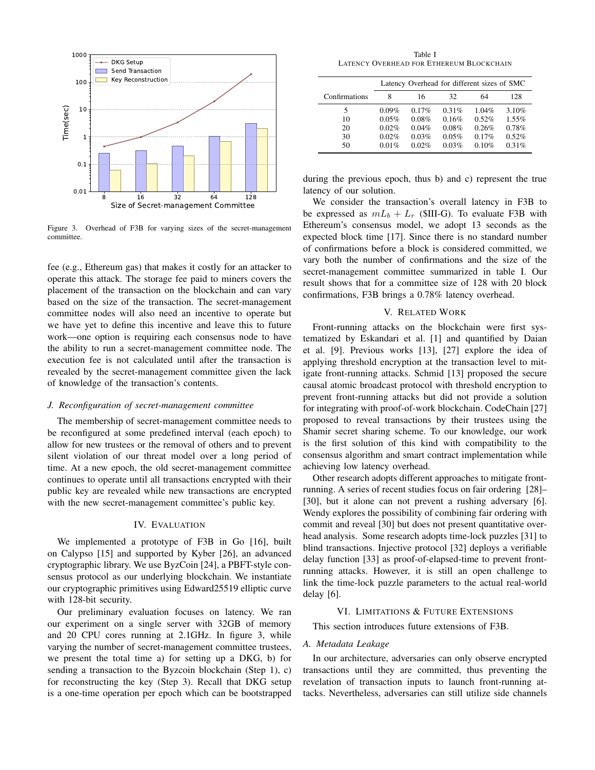

Figure 3. Overhead of F3B for varying sizes of the secret-management committee.

fee (e.g., Ethereum gas) that makes it costly for an attacker to operate this attack. The storage fee paid to miners covers the placement of the transaction on the blockchain and can vary based on the size of the transaction. The secret-management committee nodes will also need an incentive to operate but we have yet to define this incentive and leave this to future work—one option is requiring each consensus node to have the ability to run a secret-management committee node. The execution fee is not calculated until after the transaction is revealed by the secret-management committee given the lack of knowledge of the transaction's contents.

## *J. Reconfiguration of secret-management committee*

The membership of secret-management committee needs to be reconfigured at some predefined interval (each epoch) to allow for new trustees or the removal of others and to prevent silent violation of our threat model over a long period of time. At a new epoch, the old secret-management committee continues to operate until all transactions encrypted with their public key are revealed while new transactions are encrypted with the new secret-management committee's public key.

## IV. EVALUATION

We implemented a prototype of F3B in Go [16], built on Calypso [15] and supported by Kyber [26], an advanced cryptographic library. We use ByzCoin [24], a PBFT-style consensus protocol as our underlying blockchain. We instantiate our cryptographic primitives using Edward25519 elliptic curve with 128-bit security.

Our preliminary evaluation focuses on latency. We ran our experiment on a single server with 32GB of memory and 20 CPU cores running at 2.1GHz. In figure 3, while varying the number of secret-management committee trustees, we present the total time a) for setting up a DKG, b) for sending a transaction to the Byzcoin blockchain (Step 1), c) for reconstructing the key (Step 3). Recall that DKG setup is a one-time operation per epoch which can be bootstrapped

Table I LATENCY OVERHEAD FOR ETHEREUM BLOCKCHAIN

|               | Latency Overhead for different sizes of SMC |       |       |       |       |
|---------------|---------------------------------------------|-------|-------|-------|-------|
| Confirmations | 8                                           | 16    | 32    | 64    | 128   |
| 5             | 0.09%                                       | 0.17% | 0.31% | 1.04% | 3.10% |
| 10            | 0.05%                                       | 0.08% | 0.16% | 0.52% | 1.55% |
| 20            | 0.02%                                       | 0.04% | 0.08% | 0.26% | 0.78% |
| 30            | 0.02%                                       | 0.03% | 0.05% | 0.17% | 0.52% |
| 50            | 0.01%                                       | 0.02% | 0.03% | 0.10% | 0.31% |

during the previous epoch, thus b) and c) represent the true latency of our solution.

We consider the transaction's overall latency in F3B to be expressed as  $mL_b + L_r$  (\$III-G). To evaluate F3B with Ethereum's consensus model, we adopt 13 seconds as the expected block time [17]. Since there is no standard number of confirmations before a block is considered committed, we vary both the number of confirmations and the size of the secret-management committee summarized in table I. Our result shows that for a committee size of 128 with 20 block confirmations, F3B brings a 0.78% latency overhead.

#### V. RELATED WORK

Front-running attacks on the blockchain were first systematized by Eskandari et al. [1] and quantified by Daian et al. [9]. Previous works [13], [27] explore the idea of applying threshold encryption at the transaction level to mitigate front-running attacks. Schmid [13] proposed the secure causal atomic broadcast protocol with threshold encryption to prevent front-running attacks but did not provide a solution for integrating with proof-of-work blockchain. CodeChain [27] proposed to reveal transactions by their trustees using the Shamir secret sharing scheme. To our knowledge, our work is the first solution of this kind with compatibility to the consensus algorithm and smart contract implementation while achieving low latency overhead.

Other research adopts different approaches to mitigate frontrunning. A series of recent studies focus on fair ordering [28]– [30], but it alone can not prevent a rushing adversary [6]. Wendy explores the possibility of combining fair ordering with commit and reveal [30] but does not present quantitative overhead analysis. Some research adopts time-lock puzzles [31] to blind transactions. Injective protocol [32] deploys a verifiable delay function [33] as proof-of-elapsed-time to prevent frontrunning attacks. However, it is still an open challenge to link the time-lock puzzle parameters to the actual real-world delay [6].

# VI. LIMITATIONS & FUTURE EXTENSIONS

This section introduces future extensions of F3B.

## *A. Metadata Leakage*

In our architecture, adversaries can only observe encrypted transactions until they are committed, thus preventing the revelation of transaction inputs to launch front-running attacks. Nevertheless, adversaries can still utilize side channels